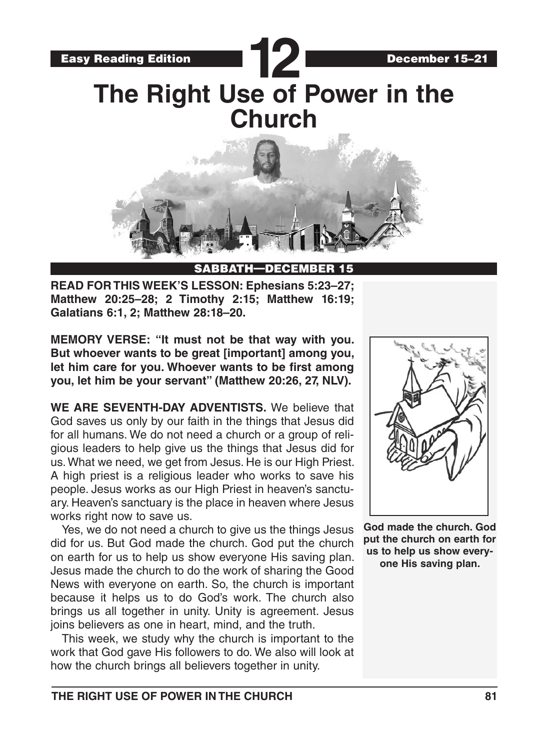

SABBATH-DEC

**READ FOR THIS WEEK'S LESSON: Ephesians 5:23–27; Matthew 20:25–28; 2 Timothy 2:15; Matthew 16:19; Galatians 6:1, 2; Matthew 28:18–20.**

**MEMORY VERSE: "It must not be that way with you. But whoever wants to be great [important] among you, let him care for you. Whoever wants to be first among you, let him be your servant" (Matthew 20:26, 27, NLV).** 

**WE ARE SEVENTH-DAY ADVENTISTS.** We believe that God saves us only by our faith in the things that Jesus did for all humans. We do not need a church or a group of religious leaders to help give us the things that Jesus did for us. What we need, we get from Jesus. He is our High Priest. A high priest is a religious leader who works to save his people. Jesus works as our High Priest in heaven's sanctuary. Heaven's sanctuary is the place in heaven where Jesus works right now to save us.

Yes, we do not need a church to give us the things Jesus did for us. But God made the church. God put the church on earth for us to help us show everyone His saving plan. Jesus made the church to do the work of sharing the Good News with everyone on earth. So, the church is important because it helps us to do God's work. The church also brings us all together in unity. Unity is agreement. Jesus joins believers as one in heart, mind, and the truth.

This week, we study why the church is important to the work that God gave His followers to do. We also will look at how the church brings all believers together in unity.



**God made the church. God put the church on earth for us to help us show everyone His saving plan.**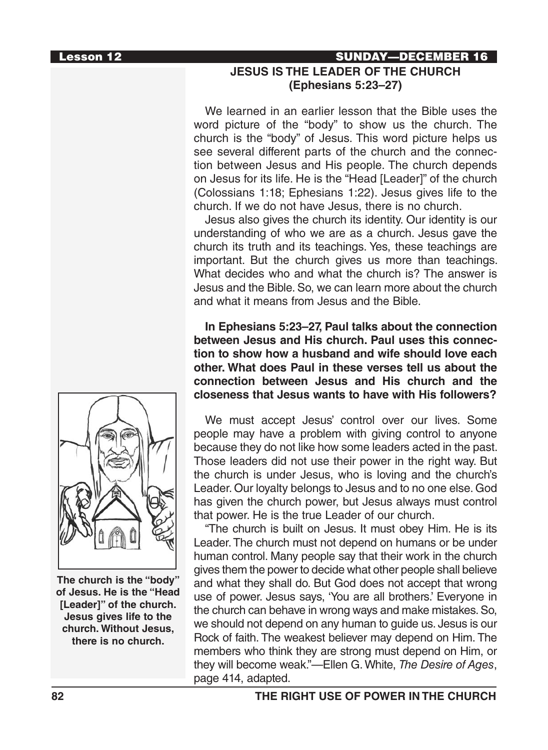#### Lesson 12 SUNDAY—DECEMBER 16

# **JESUS IS THE LEADER OF THE CHURCH (Ephesians 5:23–27)**

We learned in an earlier lesson that the Bible uses the word picture of the "body" to show us the church. The church is the "body" of Jesus. This word picture helps us see several different parts of the church and the connection between Jesus and His people. The church depends on Jesus for its life. He is the "Head [Leader]" of the church (Colossians 1:18; Ephesians 1:22). Jesus gives life to the church. If we do not have Jesus, there is no church.

Jesus also gives the church its identity. Our identity is our understanding of who we are as a church. Jesus gave the church its truth and its teachings. Yes, these teachings are important. But the church gives us more than teachings. What decides who and what the church is? The answer is Jesus and the Bible. So, we can learn more about the church and what it means from Jesus and the Bible.

**In Ephesians 5:23–27, Paul talks about the connection between Jesus and His church. Paul uses this connection to show how a husband and wife should love each other. What does Paul in these verses tell us about the connection between Jesus and His church and the closeness that Jesus wants to have with His followers?**

We must accept Jesus' control over our lives. Some people may have a problem with giving control to anyone because they do not like how some leaders acted in the past. Those leaders did not use their power in the right way. But the church is under Jesus, who is loving and the church's Leader. Our loyalty belongs to Jesus and to no one else. God has given the church power, but Jesus always must control that power. He is the true Leader of our church.

"The church is built on Jesus. It must obey Him. He is its Leader. The church must not depend on humans or be under human control. Many people say that their work in the church gives them the power to decide what other people shall believe and what they shall do. But God does not accept that wrong use of power. Jesus says, 'You are all brothers.' Everyone in the church can behave in wrong ways and make mistakes. So, we should not depend on any human to guide us. Jesus is our Rock of faith. The weakest believer may depend on Him. The members who think they are strong must depend on Him, or they will become weak."—Ellen G. White, *The Desire of Ages*, page 414, adapted.



**The church is the "body" of Jesus. He is the "Head [Leader]" of the church. Jesus gives life to the church. Without Jesus, there is no church.**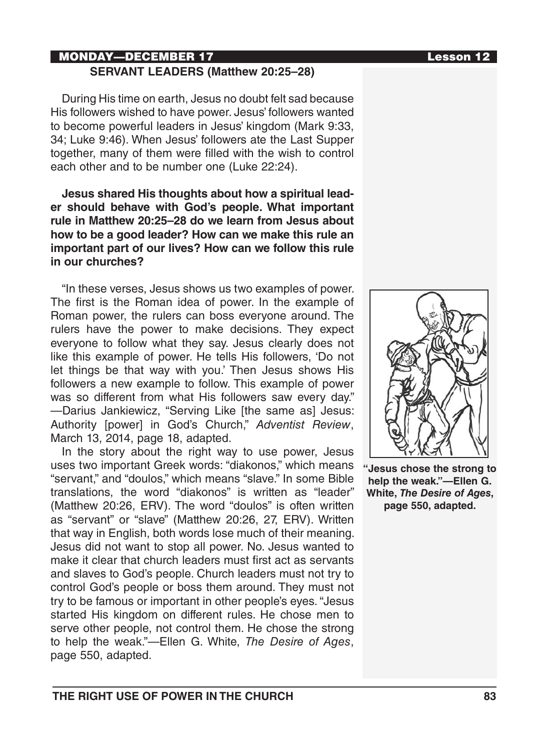#### MONDAY—DECEMBER 17 Lesson 12 **SERVANT LEADERS (Matthew 20:25–28)**

During His time on earth, Jesus no doubt felt sad because His followers wished to have power. Jesus' followers wanted to become powerful leaders in Jesus' kingdom (Mark 9:33, 34; Luke 9:46). When Jesus' followers ate the Last Supper together, many of them were filled with the wish to control each other and to be number one (Luke 22:24).

**Jesus shared His thoughts about how a spiritual leader should behave with God's people. What important rule in Matthew 20:25–28 do we learn from Jesus about how to be a good leader? How can we make this rule an important part of our lives? How can we follow this rule in our churches?**

"In these verses, Jesus shows us two examples of power. The first is the Roman idea of power. In the example of Roman power, the rulers can boss everyone around. The rulers have the power to make decisions. They expect everyone to follow what they say. Jesus clearly does not like this example of power. He tells His followers, 'Do not let things be that way with you.' Then Jesus shows His followers a new example to follow. This example of power was so different from what His followers saw every day." —Darius Jankiewicz, "Serving Like [the same as] Jesus: Authority [power] in God's Church," *Adventist Review*, March 13, 2014, page 18, adapted.

In the story about the right way to use power, Jesus uses two important Greek words: "diakonos," which means "servant," and "doulos," which means "slave." In some Bible translations, the word "diakonos" is written as "leader" (Matthew 20:26, ERV). The word "doulos" is often written as "servant" or "slave" (Matthew 20:26, 27, ERV). Written that way in English, both words lose much of their meaning. Jesus did not want to stop all power. No. Jesus wanted to make it clear that church leaders must first act as servants and slaves to God's people. Church leaders must not try to control God's people or boss them around. They must not try to be famous or important in other people's eyes. "Jesus started His kingdom on different rules. He chose men to serve other people, not control them. He chose the strong to help the weak."—Ellen G. White, *The Desire of Ages*, page 550, adapted.



**"Jesus chose the strong to help the weak."—Ellen G. White,** *The Desire of Ages***, page 550, adapted.**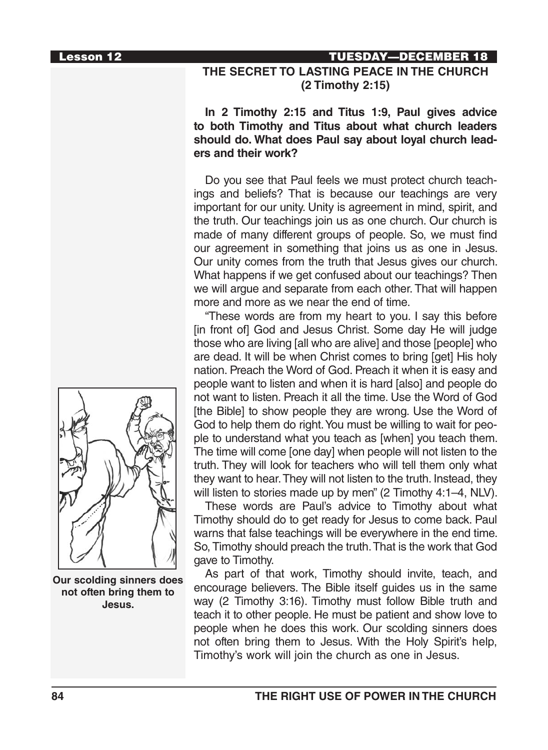#### Lesson 12 TUESDAY—DECEMBER 18

### **THE SECRET TO LASTING PEACE IN THE CHURCH (2 Timothy 2:15)**

#### **In 2 Timothy 2:15 and Titus 1:9, Paul gives advice to both Timothy and Titus about what church leaders should do. What does Paul say about loyal church leaders and their work?**

Do you see that Paul feels we must protect church teachings and beliefs? That is because our teachings are very important for our unity. Unity is agreement in mind, spirit, and the truth. Our teachings join us as one church. Our church is made of many different groups of people. So, we must find our agreement in something that joins us as one in Jesus. Our unity comes from the truth that Jesus gives our church. What happens if we get confused about our teachings? Then we will argue and separate from each other. That will happen more and more as we near the end of time.

"These words are from my heart to you. I say this before [in front of] God and Jesus Christ. Some day He will judge those who are living [all who are alive] and those [people] who are dead. It will be when Christ comes to bring [get] His holy nation. Preach the Word of God. Preach it when it is easy and people want to listen and when it is hard [also] and people do not want to listen. Preach it all the time. Use the Word of God [the Bible] to show people they are wrong. Use the Word of God to help them do right. You must be willing to wait for people to understand what you teach as [when] you teach them. The time will come [one day] when people will not listen to the truth. They will look for teachers who will tell them only what they want to hear. They will not listen to the truth. Instead, they will listen to stories made up by men" (2 Timothy 4:1–4, NLV).

These words are Paul's advice to Timothy about what Timothy should do to get ready for Jesus to come back. Paul warns that false teachings will be everywhere in the end time. So, Timothy should preach the truth. That is the work that God gave to Timothy.

As part of that work, Timothy should invite, teach, and encourage believers. The Bible itself guides us in the same way (2 Timothy 3:16). Timothy must follow Bible truth and teach it to other people. He must be patient and show love to people when he does this work. Our scolding sinners does not often bring them to Jesus. With the Holy Spirit's help, Timothy's work will join the church as one in Jesus.



**Our scolding sinners does not often bring them to Jesus.**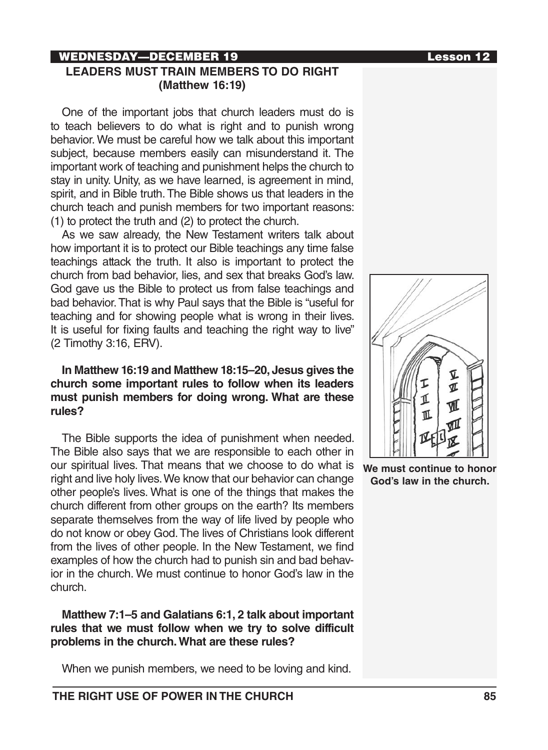## WEDNESDAY—DECEMBER 19 Lesson 12

### **LEADERS MUST TRAIN MEMBERS TO DO RIGHT (Matthew 16:19)**

One of the important jobs that church leaders must do is to teach believers to do what is right and to punish wrong behavior. We must be careful how we talk about this important subject, because members easily can misunderstand it. The important work of teaching and punishment helps the church to stay in unity. Unity, as we have learned, is agreement in mind, spirit, and in Bible truth. The Bible shows us that leaders in the church teach and punish members for two important reasons: (1) to protect the truth and (2) to protect the church.

As we saw already, the New Testament writers talk about how important it is to protect our Bible teachings any time false teachings attack the truth. It also is important to protect the church from bad behavior, lies, and sex that breaks God's law. God gave us the Bible to protect us from false teachings and bad behavior. That is why Paul says that the Bible is "useful for teaching and for showing people what is wrong in their lives. It is useful for fixing faults and teaching the right way to live" (2 Timothy 3:16, ERV).

#### **In Matthew 16:19 and Matthew 18:15–20, Jesus gives the church some important rules to follow when its leaders must punish members for doing wrong. What are these rules?**

The Bible supports the idea of punishment when needed. The Bible also says that we are responsible to each other in our spiritual lives. That means that we choose to do what is right and live holy lives. We know that our behavior can change other people's lives. What is one of the things that makes the church different from other groups on the earth? Its members separate themselves from the way of life lived by people who do not know or obey God. The lives of Christians look different from the lives of other people. In the New Testament, we find examples of how the church had to punish sin and bad behavior in the church. We must continue to honor God's law in the church.

**Matthew 7:1–5 and Galatians 6:1, 2 talk about important rules that we must follow when we try to solve difficult problems in the church. What are these rules?**

When we punish members, we need to be loving and kind.



**We must continue to honor God's law in the church.**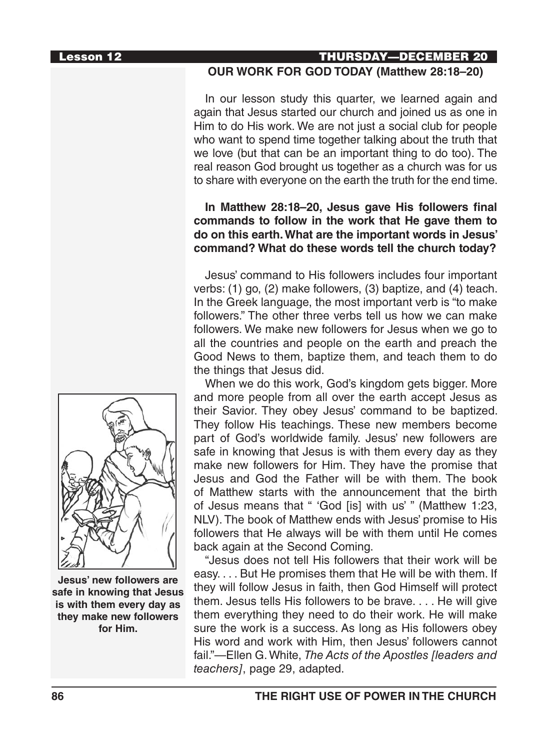#### Lesson 12 THURSDAY—DECEMBER 20

#### **OUR WORK FOR GOD TODAY (Matthew 28:18–20)**

In our lesson study this quarter, we learned again and again that Jesus started our church and joined us as one in Him to do His work. We are not just a social club for people who want to spend time together talking about the truth that we love (but that can be an important thing to do too). The real reason God brought us together as a church was for us to share with everyone on the earth the truth for the end time.

### **In Matthew 28:18–20, Jesus gave His followers final commands to follow in the work that He gave them to do on this earth. What are the important words in Jesus' command? What do these words tell the church today?**

Jesus' command to His followers includes four important verbs: (1) go, (2) make followers, (3) baptize, and (4) teach. In the Greek language, the most important verb is "to make followers." The other three verbs tell us how we can make followers. We make new followers for Jesus when we go to all the countries and people on the earth and preach the Good News to them, baptize them, and teach them to do the things that Jesus did.

When we do this work, God's kingdom gets bigger. More and more people from all over the earth accept Jesus as their Savior. They obey Jesus' command to be baptized. They follow His teachings. These new members become part of God's worldwide family. Jesus' new followers are safe in knowing that Jesus is with them every day as they make new followers for Him. They have the promise that Jesus and God the Father will be with them. The book of Matthew starts with the announcement that the birth of Jesus means that " 'God [is] with us' " (Matthew 1:23, NLV). The book of Matthew ends with Jesus' promise to His followers that He always will be with them until He comes back again at the Second Coming.

"Jesus does not tell His followers that their work will be easy. . . . But He promises them that He will be with them. If they will follow Jesus in faith, then God Himself will protect them. Jesus tells His followers to be brave. . . . He will give them everything they need to do their work. He will make sure the work is a success. As long as His followers obey His word and work with Him, then Jesus' followers cannot fail."—Ellen G. White, *The Acts of the Apostles [leaders and teachers]*, page 29, adapted.



**Jesus' new followers are safe in knowing that Jesus is with them every day as they make new followers for Him.**